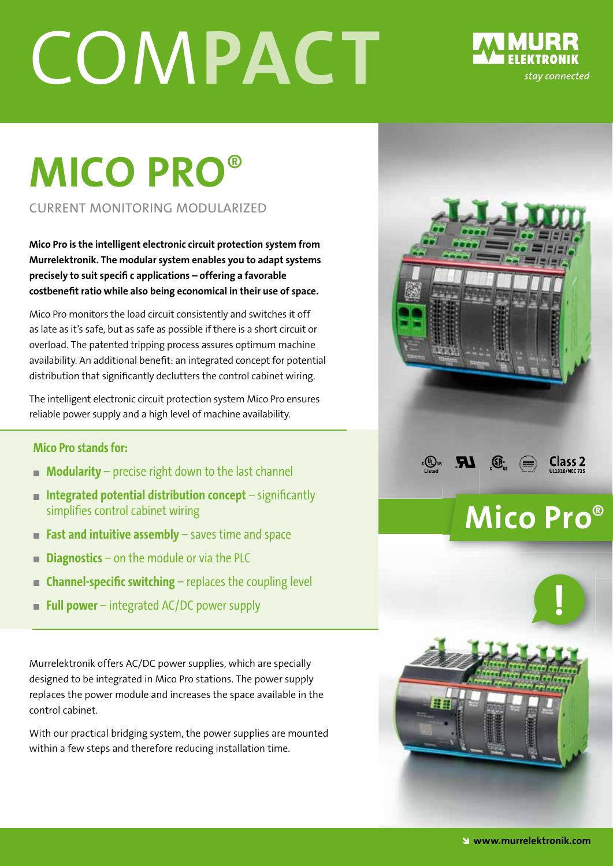# COM**PACT**



## **MICO PRO**®

CURRENT MONITORING MODULARIZED

**Mico Pro is the intelligent electronic circuit protection system from Murrelektronik. The modular system enables you to adapt systems precisely to suit specifi c applications – offering a favorable**  costbenefit ratio while also being economical in their use of space.

Mico Pro monitors the load circuit consistently and switches it off as late as it's safe, but as safe as possible if there is a short circuit or overload. The patented tripping process assures optimum machine availability. An additional benefit: an integrated concept for potential distribution that significantly declutters the control cabinet wiring.

The intelligent electronic circuit protection system Mico Pro ensures reliable power supply and a high level of machine availability.

#### **Mico Pro stands for:**

- **Modularity** precise right down to the last channel
- **Integrated potential distribution concept** significantly simplifies control cabinet wiring
- **Fast and intuitive assembly** saves time and space
- **Diagnostics** on the module or via the PLC
- **Example: Specific switching** replaces the coupling level
- **Full power** integrated AC/DC power supply

Murrelektronik offers AC/DC power supplies, which are specially designed to be integrated in Mico Pro stations. The power supply replaces the power module and increases the space available in the control cabinet.

With our practical bridging system, the power supplies are mounted within a few steps and therefore reducing installation time.





**Class 2** 

 $\bigoplus_{w}$ 

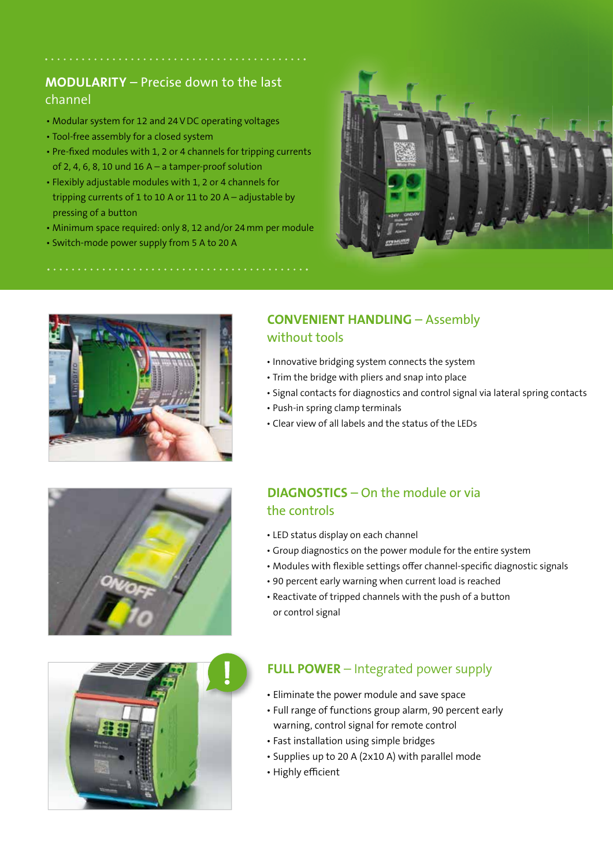#### **MODULARITY** – Precise down to the last channel

- Modular system for 12 and 24 V DC operating voltages
- Tool-free assembly for a closed system
- Pre-fixed modules with 1, 2 or 4 channels for tripping currents of 2, 4, 6, 8, 10 und 16 A – a tamper-proof solution
- Flexibly adjustable modules with 1, 2 or 4 channels for tripping currents of 1 to 10 A or 11 to 20 A – adjustable by pressing of a button
- Minimum space required: only 8, 12 and/or 24 mm per module
- Switch-mode power supply from 5 A to 20 A





#### **CONVENIENT HANDLING** – Assembly without tools

- Innovative bridging system connects the system
- Trim the bridge with pliers and snap into place
- Signal contacts for diagnostics and control signal via lateral spring contacts
- Push-in spring clamp terminals
- Clear view of all labels and the status of the LEDs



#### **DIAGNOSTICS** – On the module or via the controls

- LED status display on each channel
- Group diagnostics on the power module for the entire system
- Modules with flexible settings offer channel-specific diagnostic signals
- 90 percent early warning when current load is reached
- Reactivate of tripped channels with the push of a button or control signal



#### **FULL POWER** – Integrated power supply

- Eliminate the power module and save space
- Full range of functions group alarm, 90 percent early warning, control signal for remote control
- Fast installation using simple bridges
- Supplies up to 20 A (2x10 A) with parallel mode
- Highly efficient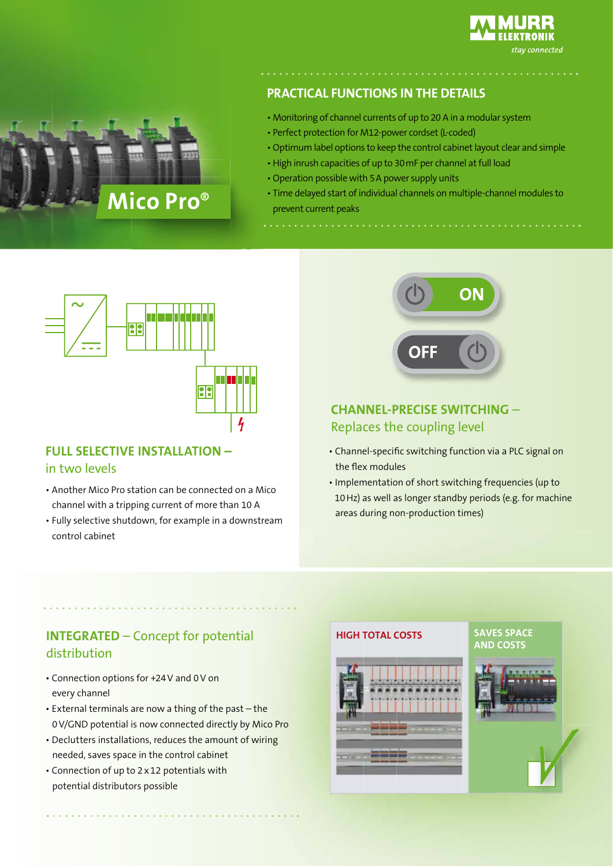

#### **PRACTICAL FUNCTIONS IN THE DETAILS**

- Monitoring of channel currents of up to 20 A in a modular system
- Perfect protection for M12-power cordset (L-coded)
- Optimum label options to keep the control cabinet layout clear and simple
- High inrush capacities of up to 30 mF per channel at full load
- Operation possible with 5 A power supply units
- Time delayed start of individual channels on multiple-channel modules to prevent current peaks



Mico Pro<sup>®</sup>

#### **FULL SELECTIVE INSTALLATION –**  in two levels

- Another Mico Pro station can be connected on a Mico channel with a tripping current of more than 10 A
- Fully selective shutdown, for example in a downstream control cabinet



#### **CHANNEL-PRECISE SWITCHING** – Replaces the coupling level

- Channel-specific switching function via a PLC signal on the flex modules
- Implementation of short switching frequencies (up to 10 Hz) as well as longer standby periods (e.g. for machine areas during non-production times)

#### **INTEGRATED** – Concept for potential distribution

- Connection options for +24 V and 0 V on every channel
- External terminals are now a thing of the past the 0 V/GND potential is now connected directly by Mico Pro
- Declutters installations, reduces the amount of wiring needed, saves space in the control cabinet
- Connection of up to 2 x 12 potentials with potential distributors possible